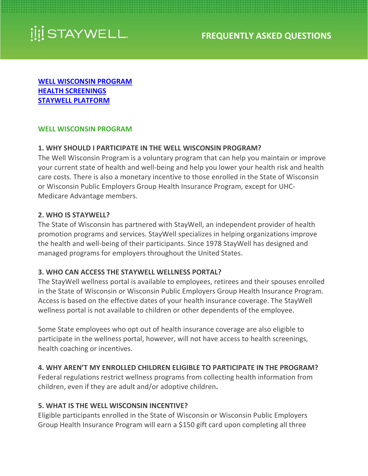

<span id="page-0-1"></span>**[WELL WISCONSIN PROGRAM](#page-0-0) [HEALTH SCREENINGS](#page-3-0) [STAYWELL PLATFORM](#page-7-0)**

#### <span id="page-0-0"></span>**WELL WISCONSIN PROGRAM**

#### **1. WHY SHOULD I PARTICIPATE IN THE WELL WISCONSIN PROGRAM?**

The Well Wisconsin Program is a voluntary program that can help you maintain or improve your current state of health and well-being and help you lower your health risk and health care costs. There is also a monetary incentive to those enrolled in the State of Wisconsin or Wisconsin Public Employers Group Health Insurance Program, except for UHC-Medicare Advantage members.

#### **2. WHO IS STAYWELL?**

The State of Wisconsin has partnered with StayWell, an independent provider of health promotion programs and services. StayWell specializes in helping organizations improve the health and well-being of their participants. Since 1978 StayWell has designed and managed programs for employers throughout the United States.

### **3. WHO CAN ACCESS THE STAYWELL WELLNESS PORTAL?**

The StayWell wellness portal is available to employees, retirees and their spouses enrolled in the State of Wisconsin or Wisconsin Public Employers Group Health Insurance Program. Access is based on the effective dates of your health insurance coverage. The StayWell wellness portal is not available to children or other dependents of the employee.

Some State employees who opt out of health insurance coverage are also eligible to participate in the wellness portal, however, will not have access to health screenings, health coaching or incentives.

### **4. WHY AREN'T MY ENROLLED CHILDREN ELIGIBLE TO PARTICIPATE IN THE PROGRAM?**

Federal regulations restrict wellness programs from collecting health information from children, even if they are adult and/or adoptive children**.** 

### **5. WHAT IS THE WELL WISCONSIN INCENTIVE?**

Eligible participants enrolled in the State of Wisconsin or Wisconsin Public Employers Group Health Insurance Program will earn a \$150 gift card upon completing all three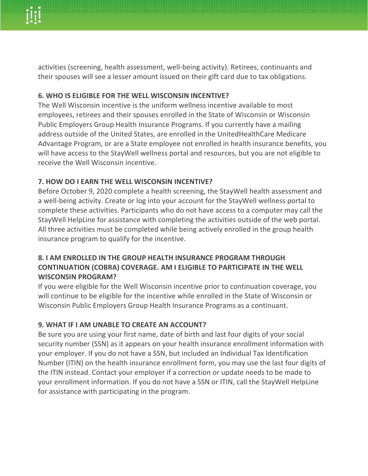activities (screening, health assessment, well-being activity). Retirees, continuants and their spouses will see a lesser amount issued on their gift card due to tax obligations.

## **6. WHO IS ELIGIBLE FOR THE WELL WISCONSIN INCENTIVE?**

The Well Wisconsin incentive is the uniform wellness incentive available to most employees, retirees and their spouses enrolled in the State of Wisconsin or Wisconsin Public Employers Group Health Insurance Programs. If you currently have a mailing address outside of the United States, are enrolled in the UnitedHealthCare Medicare Advantage Program, or are a State employee not enrolled in health insurance benefits, you will have access to the StayWell wellness portal and resources, but you are not eligible to receive the Well Wisconsin incentive.

## **7. HOW DO I EARN THE WELL WISCONSIN INCENTIVE?**

Before October 9, 2020 complete a health screening, the StayWell health assessment and a well-being activity. Create or log into your account for the StayWell wellness portal to complete these activities. Participants who do not have access to a computer may call the StayWell HelpLine for assistance with completing the activities outside of the web portal. All three activities must be completed while being actively enrolled in the group health insurance program to qualify for the incentive.

## **8. I AM ENROLLED IN THE GROUP HEALTH INSURANCE PROGRAM THROUGH CONTINUATION (COBRA) COVERAGE. AM I ELIGIBLE TO PARTICIPATE IN THE WELL WISCONSIN PROGRAM?**

If you were eligible for the Well Wisconsin incentive prior to continuation coverage, you will continue to be eligible for the incentive while enrolled in the State of Wisconsin or Wisconsin Public Employers Group Health Insurance Programs as a continuant.

## **9. WHAT IF I AM UNABLE TO CREATE AN ACCOUNT?**

Be sure you are using your first name, date of birth and last four digits of your social security number (SSN) as it appears on your health insurance enrollment information with your employer. If you do not have a SSN, but included an Individual Tax Identification Number (ITIN) on the health insurance enrollment form, you may use the last four digits of the ITIN instead. Contact your employer if a correction or update needs to be made to your enrollment information. If you do not have a SSN or ITIN, call the StayWell HelpLine for assistance with participating in the program.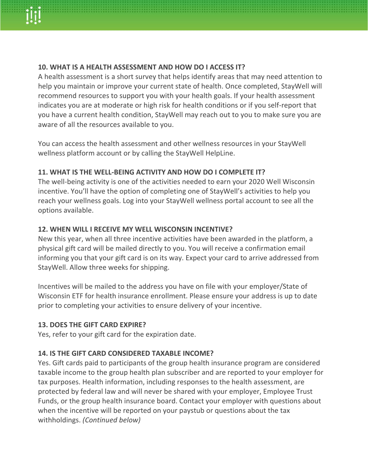

## **10. WHAT IS A HEALTH ASSESSMENT AND HOW DO I ACCESS IT?**

A health assessment is a short survey that helps identify areas that may need attention to help you maintain or improve your current state of health. Once completed, StayWell will recommend resources to support you with your health goals. If your health assessment indicates you are at moderate or high risk for health conditions or if you self-report that you have a current health condition, StayWell may reach out to you to make sure you are aware of all the resources available to you.

You can access the health assessment and other wellness resources in your StayWell wellness platform account or by calling the StayWell HelpLine.

## **11. WHAT IS THE WELL-BEING ACTIVITY AND HOW DO I COMPLETE IT?**

The well-being activity is one of the activities needed to earn your 2020 Well Wisconsin incentive. You'll have the option of completing one of StayWell's activities to help you reach your wellness goals. Log into your StayWell wellness portal account to see all the options available.

### **12. WHEN WILL I RECEIVE MY WELL WISCONSIN INCENTIVE?**

New this year, when all three incentive activities have been awarded in the platform, a physical gift card will be mailed directly to you. You will receive a confirmation email informing you that your gift card is on its way. Expect your card to arrive addressed from StayWell. Allow three weeks for shipping.

Incentives will be mailed to the address you have on file with your employer/State of Wisconsin ETF for health insurance enrollment. Please ensure your address is up to date prior to completing your activities to ensure delivery of your incentive.

### **13. DOES THE GIFT CARD EXPIRE?**

Yes, refer to your gift card for the expiration date.

### **14. IS THE GIFT CARD CONSIDERED TAXABLE INCOME?**

Yes. Gift cards paid to participants of the group health insurance program are considered taxable income to the group health plan subscriber and are reported to your employer for tax purposes. Health information, including responses to the health assessment, are protected by federal law and will never be shared with your employer, Employee Trust Funds, or the group health insurance board. Contact your employer with questions about when the incentive will be reported on your paystub or questions about the tax withholdings. *(Continued below)*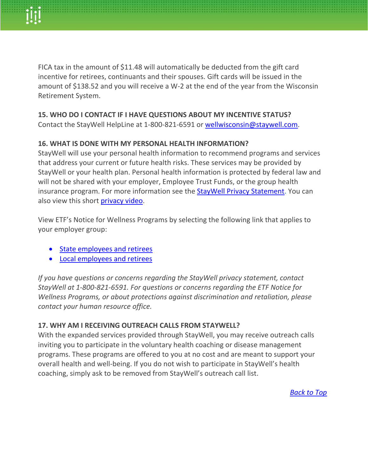FICA tax in the amount of \$11.48 will automatically be deducted from the gift card incentive for retirees, continuants and their spouses. Gift cards will be issued in the amount of \$138.52 and you will receive a W-2 at the end of the year from the Wisconsin Retirement System.

## **15. WHO DO I CONTACT IF I HAVE QUESTIONS ABOUT MY INCENTIVE STATUS?**

Contact the StayWell HelpLine at 1-800-821-6591 or [wellwisconsin@staywell.com.](mailto:wellwisconsin@staywell.com)

## **16. WHAT IS DONE WITH MY PERSONAL HEALTH INFORMATION?**

StayWell will use your personal health information to recommend programs and services that address your current or future health risks. These services may be provided by StayWell or your health plan. Personal health information is protected by federal law and will not be shared with your employer, Employee Trust Funds, or the group health insurance program. For more information see the **StayWell Privacy Statement**. You can also view this short [privacy video.](https://vimeo.com/308613928/ce7430c90d)

View ETF's Notice for Wellness Programs by selecting the following link that applies to your employer group:

- [State employees and retirees](https://etf.wi.gov/its-your-choice/2020/health-benefits/equal-employment-opportunity-commission-eeoc-notice-regarding-wellness-program-0)
- [Local employees and retirees](https://etf.wi.gov/its-your-choice/2020/health-benefits/equal-employment-opportunity-commission-eeoc-notice-regarding-wellness-program)

*If you have questions or concerns regarding the StayWell privacy statement, contact StayWell at 1-800-821-6591. For questions or concerns regarding the ETF Notice for Wellness Programs, or about protections against discrimination and retaliation, please contact your human resource office.*

### **17. WHY AM I RECEIVING OUTREACH CALLS FROM STAYWELL?**

<span id="page-3-0"></span>With the expanded services provided through StayWell, you may receive outreach calls inviting you to participate in the voluntary health coaching or disease management programs. These programs are offered to you at no cost and are meant to support your overall health and well-being. If you do not wish to participate in StayWell's health coaching, simply ask to be removed from StayWell's outreach call list.

*[Back to Top](#page-0-1)*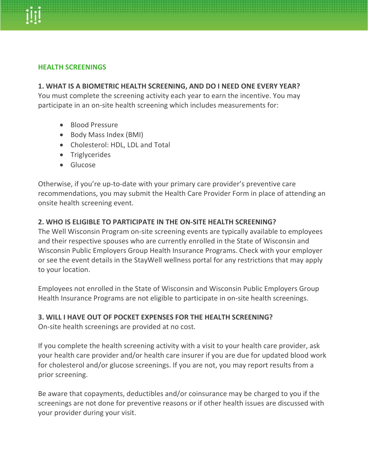

#### **HEALTH SCREENINGS**

#### **1. WHAT IS A BIOMETRIC HEALTH SCREENING, AND DO I NEED ONE EVERY YEAR?**

You must complete the screening activity each year to earn the incentive. You may participate in an on-site health screening which includes measurements for:

- Blood Pressure
- Body Mass Index (BMI)
- Cholesterol: HDL, LDL and Total
- Triglycerides
- Glucose

Otherwise, if you're up-to-date with your primary care provider's preventive care recommendations, you may submit the Health Care Provider Form in place of attending an onsite health screening event.

### **2. WHO IS ELIGIBLE TO PARTICIPATE IN THE ON-SITE HEALTH SCREENING?**

The Well Wisconsin Program on-site screening events are typically available to employees and their respective spouses who are currently enrolled in the State of Wisconsin and Wisconsin Public Employers Group Health Insurance Programs. Check with your employer or see the event details in the StayWell wellness portal for any restrictions that may apply to your location.

Employees not enrolled in the State of Wisconsin and Wisconsin Public Employers Group Health Insurance Programs are not eligible to participate in on-site health screenings.

### **3. WILL I HAVE OUT OF POCKET EXPENSES FOR THE HEALTH SCREENING?**

On-site health screenings are provided at no cost.

If you complete the health screening activity with a visit to your health care provider, ask your health care provider and/or health care insurer if you are due for updated blood work for cholesterol and/or glucose screenings. If you are not, you may report results from a prior screening.

Be aware that copayments, deductibles and/or coinsurance may be charged to you if the screenings are not done for preventive reasons or if other health issues are discussed with your provider during your visit.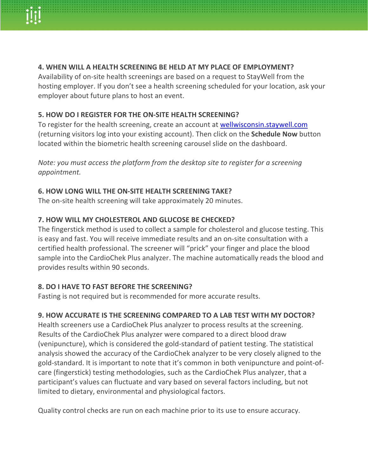

## **4. WHEN WILL A HEALTH SCREENING BE HELD AT MY PLACE OF EMPLOYMENT?**

Availability of on-site health screenings are based on a request to StayWell from the hosting employer. If you don't see a health screening scheduled for your location, ask your employer about future plans to host an event.

### **5. HOW DO I REGISTER FOR THE ON-SITE HEALTH SCREENING?**

To register for the health screening, create an account at [wellwisconsin.staywell.com](https://wellwisconsin.staywell.com/) (returning visitors log into your existing account). Then click on the **Schedule Now** button located within the biometric health screening carousel slide on the dashboard.

*Note: you must access the platform from the desktop site to register for a screening appointment.*

### **6. HOW LONG WILL THE ON-SITE HEALTH SCREENING TAKE?**

The on-site health screening will take approximately 20 minutes.

## **7. HOW WILL MY CHOLESTEROL AND GLUCOSE BE CHECKED?**

The fingerstick method is used to collect a sample for cholesterol and glucose testing. This is easy and fast. You will receive immediate results and an on-site consultation with a certified health professional. The screener will "prick" your finger and place the blood sample into the CardioChek Plus analyzer. The machine automatically reads the blood and provides results within 90 seconds.

### **8. DO I HAVE TO FAST BEFORE THE SCREENING?**

Fasting is not required but is recommended for more accurate results.

## **9. HOW ACCURATE IS THE SCREENING COMPARED TO A LAB TEST WITH MY DOCTOR?**

Health screeners use a CardioChek Plus analyzer to process results at the screening. Results of the CardioChek Plus analyzer were compared to a direct blood draw (venipuncture), which is considered the gold-standard of patient testing. The statistical analysis showed the accuracy of the CardioChek analyzer to be very closely aligned to the gold-standard. It is important to note that it's common in both venipuncture and point-ofcare (fingerstick) testing methodologies, such as the CardioChek Plus analyzer, that a participant's values can fluctuate and vary based on several factors including, but not limited to dietary, environmental and physiological factors.

Quality control checks are run on each machine prior to its use to ensure accuracy.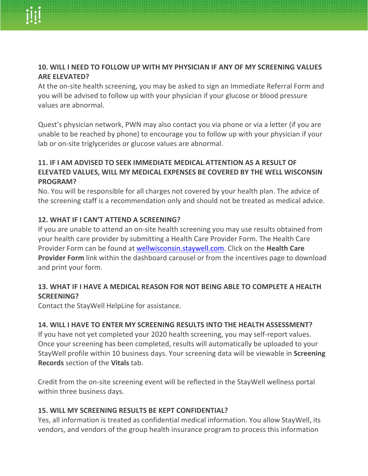

## **10. WILL I NEED TO FOLLOW UP WITH MY PHYSICIAN IF ANY OF MY SCREENING VALUES ARE ELEVATED?**

At the on-site health screening, you may be asked to sign an Immediate Referral Form and you will be advised to follow up with your physician if your glucose or blood pressure values are abnormal.

Quest's physician network, PWN may also contact you via phone or via a letter (if you are unable to be reached by phone) to encourage you to follow up with your physician if your lab or on-site triglycerides or glucose values are abnormal.

# **11. IF I AM ADVISED TO SEEK IMMEDIATE MEDICAL ATTENTION AS A RESULT OF ELEVATED VALUES, WILL MY MEDICAL EXPENSES BE COVERED BY THE WELL WISCONSIN PROGRAM?**

No. You will be responsible for all charges not covered by your health plan. The advice of the screening staff is a recommendation only and should not be treated as medical advice.

## **12. WHAT IF I CAN'T ATTEND A SCREENING?**

If you are unable to attend an on-site health screening you may use results obtained from your health care provider by submitting a Health Care Provider Form. The Health Care Provider Form can be found at [wellwisconsin.staywell.com.](https://wellwisconsin.staywell.com/) Click on the **Health Care Provider Form** link within the dashboard carousel or from the incentives page to download and print your form.

## **13. WHAT IF I HAVE A MEDICAL REASON FOR NOT BEING ABLE TO COMPLETE A HEALTH SCREENING?**

Contact the StayWell HelpLine for assistance.

### **14. WILL I HAVE TO ENTER MY SCREENING RESULTS INTO THE HEALTH ASSESSMENT?**

If you have not yet completed your 2020 health screening, you may self-report values. Once your screening has been completed, results will automatically be uploaded to your StayWell profile within 10 business days. Your screening data will be viewable in **Screening Records** section of the **Vitals** tab.

Credit from the on-site screening event will be reflected in the StayWell wellness portal within three business days.

### **15. WILL MY SCREENING RESULTS BE KEPT CONFIDENTIAL?**

Yes, all information is treated as confidential medical information. You allow StayWell, its vendors, and vendors of the group health insurance program to process this information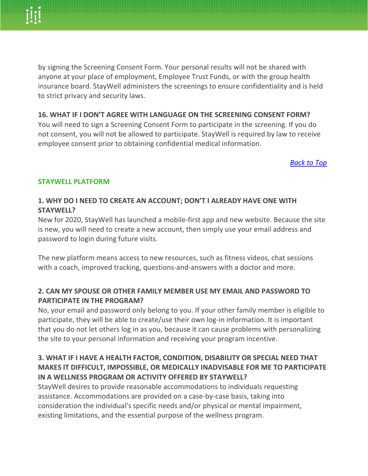by signing the Screening Consent Form. Your personal results will not be shared with anyone at your place of employment, Employee Trust Funds, or with the group health insurance board. StayWell administers the screenings to ensure confidentiality and is held to strict privacy and security laws.

## **16. WHAT IF I DON'T AGREE WITH LANGUAGE ON THE SCREENING CONSENT FORM?**

You will need to sign a Screening Consent Form to participate in the screening. If you do not consent, you will not be allowed to participate. StayWell is required by law to receive employee consent prior to obtaining confidential medical information.

*[Back to Top](#page-0-1)*

### <span id="page-7-0"></span>**STAYWELL PLATFORM**

# **1. WHY DO I NEED TO CREATE AN ACCOUNT; DON'T I ALREADY HAVE ONE WITH STAYWELL?**

New for 2020, StayWell has launched a mobile-first app and new website. Because the site is new, you will need to create a new account, then simply use your email address and password to login during future visits.

The new platform means access to new resources, such as fitness videos, chat sessions with a coach, improved tracking, questions-and-answers with a doctor and more.

## **2. CAN MY SPOUSE OR OTHER FAMILY MEMBER USE MY EMAIL AND PASSWORD TO PARTICIPATE IN THE PROGRAM?**

No, your email and password only belong to you. If your other family member is eligible to participate, they will be able to create/use their own log-in information. It is important that you do not let others log in as you, because it can cause problems with personalizing the site to your personal information and receiving your program incentive.

## **3. WHAT IF I HAVE A HEALTH FACTOR, CONDITION, DISABILITY OR SPECIAL NEED THAT MAKES IT DIFFICULT, IMPOSSIBLE, OR MEDICALLY INADVISABLE FOR ME TO PARTICIPATE IN A WELLNESS PROGRAM OR ACTIVITY OFFERED BY STAYWELL?**

StayWell desires to provide reasonable accommodations to individuals requesting assistance. Accommodations are provided on a case-by-case basis, taking into consideration the individual's specific needs and/or physical or mental impairment, existing limitations, and the essential purpose of the wellness program.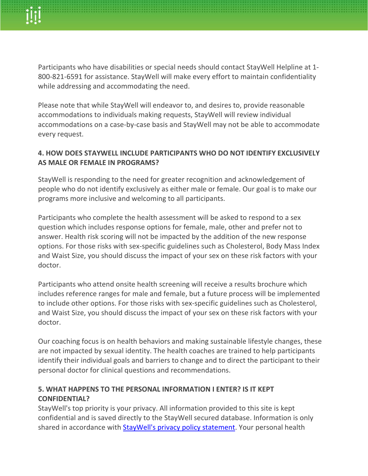Participants who have disabilities or special needs should contact StayWell Helpline at 1- 800-821-6591 for assistance. StayWell will make every effort to maintain confidentiality while addressing and accommodating the need.

Please note that while StayWell will endeavor to, and desires to, provide reasonable accommodations to individuals making requests, StayWell will review individual accommodations on a case-by-case basis and StayWell may not be able to accommodate every request.

# **4. HOW DOES STAYWELL INCLUDE PARTICIPANTS WHO DO NOT IDENTIFY EXCLUSIVELY AS MALE OR FEMALE IN PROGRAMS?**

StayWell is responding to the need for greater recognition and acknowledgement of people who do not identify exclusively as either male or female. Our goal is to make our programs more inclusive and welcoming to all participants.

Participants who complete the health assessment will be asked to respond to a sex question which includes response options for female, male, other and prefer not to answer. Health risk scoring will not be impacted by the addition of the new response options. For those risks with sex-specific guidelines such as Cholesterol, Body Mass Index and Waist Size, you should discuss the impact of your sex on these risk factors with your doctor.

Participants who attend onsite health screening will receive a results brochure which includes reference ranges for male and female, but a future process will be implemented to include other options. For those risks with sex-specific guidelines such as Cholesterol, and Waist Size, you should discuss the impact of your sex on these risk factors with your doctor.

Our coaching focus is on health behaviors and making sustainable lifestyle changes, these are not impacted by sexual identity. The health coaches are trained to help participants identify their individual goals and barriers to change and to direct the participant to their personal doctor for clinical questions and recommendations.

# **5. WHAT HAPPENS TO THE PERSONAL INFORMATION I ENTER? IS IT KEPT CONFIDENTIAL?**

StayWell's top priority is your privacy. All information provided to this site is kept confidential and is saved directly to the StayWell secured database. Information is only shared in accordance with [StayWell's privacy policy statement.](https://wellwisconsin.staywell.com/My-Account/Privacy.aspx) Your personal health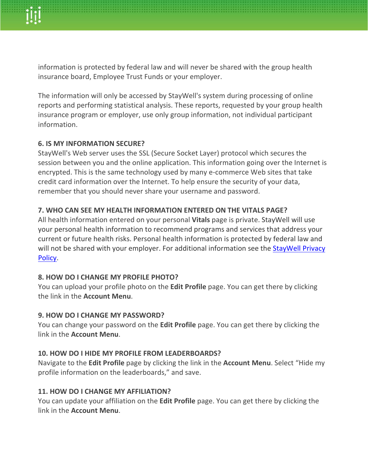information is protected by federal law and will never be shared with the group health insurance board, Employee Trust Funds or your employer.

The information will only be accessed by StayWell's system during processing of online reports and performing statistical analysis. These reports, requested by your group health insurance program or employer, use only group information, not individual participant information.

## **6. IS MY INFORMATION SECURE?**

StayWell's Web server uses the SSL (Secure Socket Layer) protocol which secures the session between you and the online application. This information going over the Internet is encrypted. This is the same technology used by many e-commerce Web sites that take credit card information over the Internet. To help ensure the security of your data, remember that you should never share your username and password.

## **7. WHO CAN SEE MY HEALTH INFORMATION ENTERED ON THE VITALS PAGE?**

All health information entered on your personal **Vitals** page is private. StayWell will use your personal health information to recommend programs and services that address your current or future health risks. Personal health information is protected by federal law and will not be shared with your employer. For additional information see the StayWell Privacy [Policy.](https://www.staywell.com/privacy-policy)

## **8. HOW DO I CHANGE MY PROFILE PHOTO?**

You can upload your profile photo on the **Edit Profile** page. You can get there by clicking the link in the **Account Menu**.

## **9. HOW DO I CHANGE MY PASSWORD?**

You can change your password on the **Edit Profile** page. You can get there by clicking the link in the **Account Menu**.

## **10. HOW DO I HIDE MY PROFILE FROM LEADERBOARDS?**

Navigate to the **Edit Profile** page by clicking the link in the **Account Menu**. Select "Hide my profile information on the leaderboards," and save.

## **11. HOW DO I CHANGE MY AFFILIATION?**

You can update your affiliation on the **Edit Profile** page. You can get there by clicking the link in the **Account Menu**.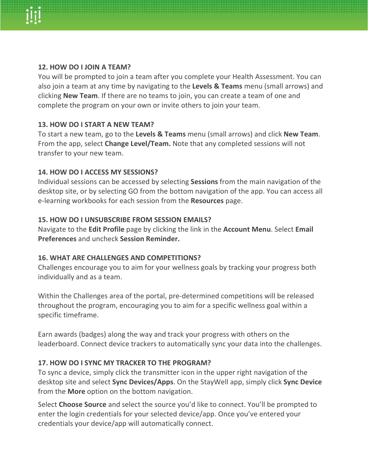

#### **12. HOW DO I JOIN A TEAM?**

You will be prompted to join a team after you complete your Health Assessment. You can also join a team at any time by navigating to the **Levels & Teams** menu (small arrows) and clicking **New Team**. If there are no teams to join, you can create a team of one and complete the program on your own or invite others to join your team.

#### **13. HOW DO I START A NEW TEAM?**

To start a new team, go to the **Levels & Teams** menu (small arrows) and click **New Team**. From the app, select **Change Level/Team.** Note that any completed sessions will not transfer to your new team.

### **14. HOW DO I ACCESS MY SESSIONS?**

Individual sessions can be accessed by selecting **Sessions** from the main navigation of the desktop site, or by selecting GO from the bottom navigation of the app. You can access all e-learning workbooks for each session from the **Resources** page.

#### **15. HOW DO I UNSUBSCRIBE FROM SESSION EMAILS?**

Navigate to the **Edit Profile** page by clicking the link in the **Account Menu**. Select **Email Preferences** and uncheck **Session Reminder.**

#### **16. WHAT ARE CHALLENGES AND COMPETITIONS?**

Challenges encourage you to aim for your wellness goals by tracking your progress both individually and as a team.

Within the Challenges area of the portal, pre-determined competitions will be released throughout the program, encouraging you to aim for a specific wellness goal within a specific timeframe.

Earn awards (badges) along the way and track your progress with others on the leaderboard. Connect device trackers to automatically sync your data into the challenges.

### **17. HOW DO I SYNC MY TRACKER TO THE PROGRAM?**

To sync a device, simply click the transmitter icon in the upper right navigation of the desktop site and select **Sync Devices/Apps**. On the StayWell app, simply click **Sync Device** from the **More** option on the bottom navigation.

Select **Choose Source** and select the source you'd like to connect. You'll be prompted to enter the login credentials for your selected device/app. Once you've entered your credentials your device/app will automatically connect.